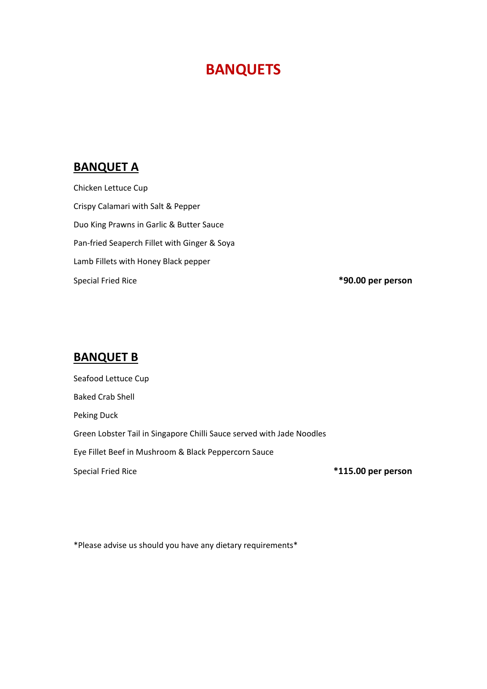#### **BANQUETS**

#### **BANQUET A**

Chicken Lettuce Cup Crispy Calamari with Salt & Pepper Duo King Prawns in Garlic & Butter Sauce Pan-fried Seaperch Fillet with Ginger & Soya Lamb Fillets with Honey Black pepper Special Fried Rice **\*90.00 per person**

#### **BANQUET B**

Seafood Lettuce Cup Baked Crab Shell Peking Duck Green Lobster Tail in Singapore Chilli Sauce served with Jade Noodles Eye Fillet Beef in Mushroom & Black Peppercorn Sauce Special Fried Rice **\*115.00 per person**

\*Please advise us should you have any dietary requirements\*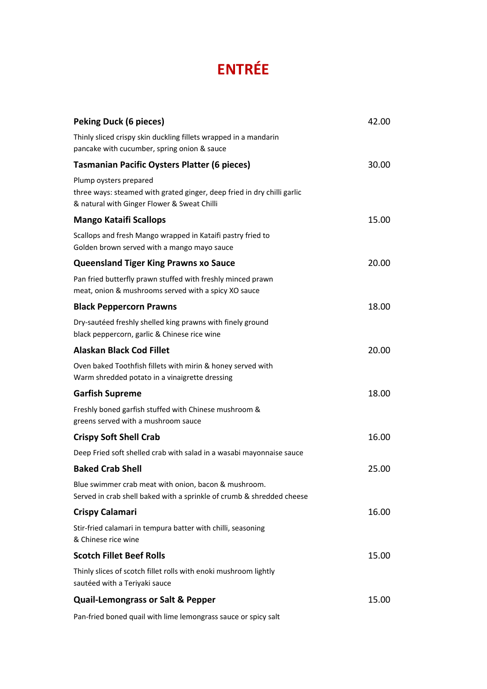# **ENTRÉE**

| <b>Peking Duck (6 pieces)</b>                                                                                                                    | 42.00 |
|--------------------------------------------------------------------------------------------------------------------------------------------------|-------|
| Thinly sliced crispy skin duckling fillets wrapped in a mandarin<br>pancake with cucumber, spring onion & sauce                                  |       |
| <b>Tasmanian Pacific Oysters Platter (6 pieces)</b>                                                                                              | 30.00 |
| Plump oysters prepared<br>three ways: steamed with grated ginger, deep fried in dry chilli garlic<br>& natural with Ginger Flower & Sweat Chilli |       |
| <b>Mango Kataifi Scallops</b>                                                                                                                    | 15.00 |
| Scallops and fresh Mango wrapped in Kataifi pastry fried to<br>Golden brown served with a mango mayo sauce                                       |       |
| <b>Queensland Tiger King Prawns xo Sauce</b>                                                                                                     | 20.00 |
| Pan fried butterfly prawn stuffed with freshly minced prawn<br>meat, onion & mushrooms served with a spicy XO sauce                              |       |
| <b>Black Peppercorn Prawns</b>                                                                                                                   | 18.00 |
| Dry-sautéed freshly shelled king prawns with finely ground<br>black peppercorn, garlic & Chinese rice wine                                       |       |
| <b>Alaskan Black Cod Fillet</b>                                                                                                                  | 20.00 |
| Oven baked Toothfish fillets with mirin & honey served with<br>Warm shredded potato in a vinaigrette dressing                                    |       |
| <b>Garfish Supreme</b>                                                                                                                           | 18.00 |
| Freshly boned garfish stuffed with Chinese mushroom &<br>greens served with a mushroom sauce                                                     |       |
| <b>Crispy Soft Shell Crab</b>                                                                                                                    | 16.00 |
| Deep Fried soft shelled crab with salad in a wasabi mayonnaise sauce                                                                             |       |
| <b>Baked Crab Shell</b>                                                                                                                          | 25.00 |
| Blue swimmer crab meat with onion, bacon & mushroom.<br>Served in crab shell baked with a sprinkle of crumb & shredded cheese                    |       |
| <b>Crispy Calamari</b>                                                                                                                           | 16.00 |
| Stir-fried calamari in tempura batter with chilli, seasoning<br>& Chinese rice wine                                                              |       |
| <b>Scotch Fillet Beef Rolls</b>                                                                                                                  | 15.00 |
| Thinly slices of scotch fillet rolls with enoki mushroom lightly<br>sautéed with a Teriyaki sauce                                                |       |
| <b>Quail-Lemongrass or Salt &amp; Pepper</b>                                                                                                     | 15.00 |
|                                                                                                                                                  |       |

Pan-fried boned quail with lime lemongrass sauce or spicy salt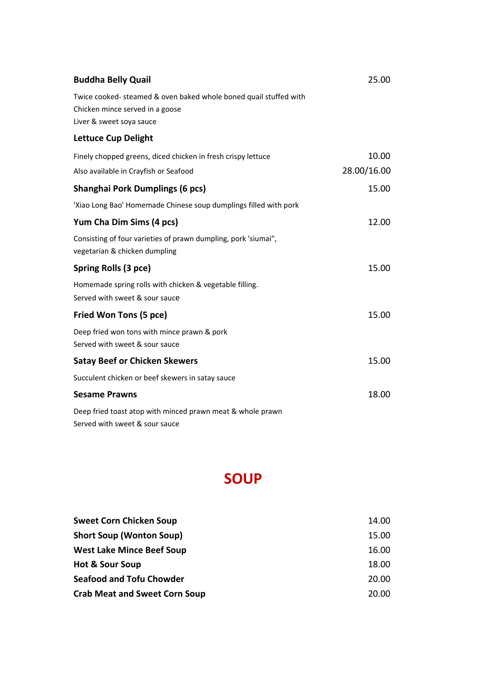| <b>Buddha Belly Quail</b>                                                                                                       | 25.00       |
|---------------------------------------------------------------------------------------------------------------------------------|-------------|
| Twice cooked-steamed & oven baked whole boned quail stuffed with<br>Chicken mince served in a goose<br>Liver & sweet soya sauce |             |
| <b>Lettuce Cup Delight</b>                                                                                                      |             |
| Finely chopped greens, diced chicken in fresh crispy lettuce                                                                    | 10.00       |
| Also available in Crayfish or Seafood                                                                                           | 28.00/16.00 |
| <b>Shanghai Pork Dumplings (6 pcs)</b>                                                                                          | 15.00       |
| 'Xiao Long Bao' Homemade Chinese soup dumplings filled with pork                                                                |             |
| Yum Cha Dim Sims (4 pcs)                                                                                                        | 12.00       |
| Consisting of four varieties of prawn dumpling, pork 'siumai",<br>vegetarian & chicken dumpling                                 |             |
| Spring Rolls (3 pce)                                                                                                            | 15.00       |
| Homemade spring rolls with chicken & vegetable filling.<br>Served with sweet & sour sauce                                       |             |
| Fried Won Tons (5 pce)                                                                                                          | 15.00       |
| Deep fried won tons with mince prawn & pork<br>Served with sweet & sour sauce                                                   |             |
| <b>Satay Beef or Chicken Skewers</b>                                                                                            | 15.00       |
| Succulent chicken or beef skewers in satay sauce                                                                                |             |
| <b>Sesame Prawns</b>                                                                                                            | 18.00       |
| Deep fried toast atop with minced prawn meat & whole prawn<br>Served with sweet & sour sauce                                    |             |

#### **SOUP**

| <b>Sweet Corn Chicken Soup</b>       | 14.00 |
|--------------------------------------|-------|
| <b>Short Soup (Wonton Soup)</b>      | 15.00 |
| <b>West Lake Mince Beef Soup</b>     | 16.00 |
| <b>Hot &amp; Sour Soup</b>           | 18.00 |
| <b>Seafood and Tofu Chowder</b>      | 20.00 |
| <b>Crab Meat and Sweet Corn Soup</b> | 20.00 |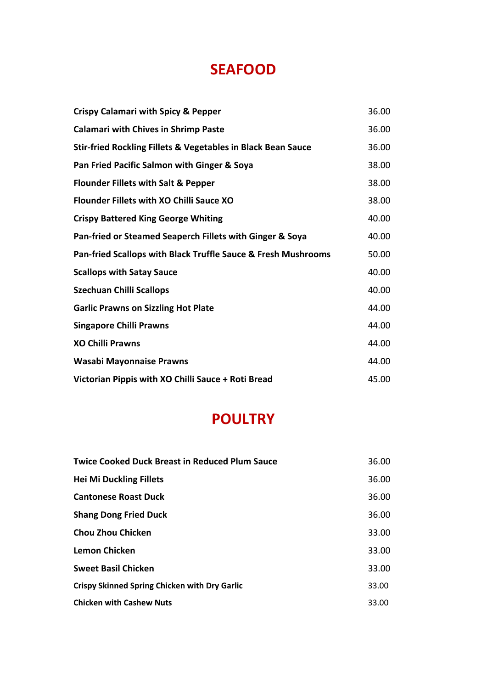#### **SEAFOOD**

| <b>Crispy Calamari with Spicy &amp; Pepper</b>                          | 36.00 |
|-------------------------------------------------------------------------|-------|
| <b>Calamari with Chives in Shrimp Paste</b>                             | 36.00 |
| <b>Stir-fried Rockling Fillets &amp; Vegetables in Black Bean Sauce</b> | 36.00 |
| Pan Fried Pacific Salmon with Ginger & Soya                             | 38.00 |
| <b>Flounder Fillets with Salt &amp; Pepper</b>                          | 38.00 |
| Flounder Fillets with XO Chilli Sauce XO                                | 38.00 |
| <b>Crispy Battered King George Whiting</b>                              | 40.00 |
| Pan-fried or Steamed Seaperch Fillets with Ginger & Soya                | 40.00 |
| Pan-fried Scallops with Black Truffle Sauce & Fresh Mushrooms           | 50.00 |
| <b>Scallops with Satay Sauce</b>                                        | 40.00 |
| <b>Szechuan Chilli Scallops</b>                                         | 40.00 |
| <b>Garlic Prawns on Sizzling Hot Plate</b>                              | 44.00 |
| <b>Singapore Chilli Prawns</b>                                          | 44.00 |
| <b>XO Chilli Prawns</b>                                                 | 44.00 |
| <b>Wasabi Mayonnaise Prawns</b>                                         | 44.00 |
| Victorian Pippis with XO Chilli Sauce + Roti Bread                      | 45.00 |

#### **POULTRY**

| <b>Twice Cooked Duck Breast in Reduced Plum Sauce</b> | 36.00 |
|-------------------------------------------------------|-------|
| <b>Hei Mi Duckling Fillets</b>                        | 36.00 |
| <b>Cantonese Roast Duck</b>                           | 36.00 |
| <b>Shang Dong Fried Duck</b>                          | 36.00 |
| Chou Zhou Chicken                                     | 33.00 |
| Lemon Chicken                                         | 33.00 |
| <b>Sweet Basil Chicken</b>                            | 33.00 |
| <b>Crispy Skinned Spring Chicken with Dry Garlic</b>  | 33.00 |
| <b>Chicken with Cashew Nuts</b>                       | 33.00 |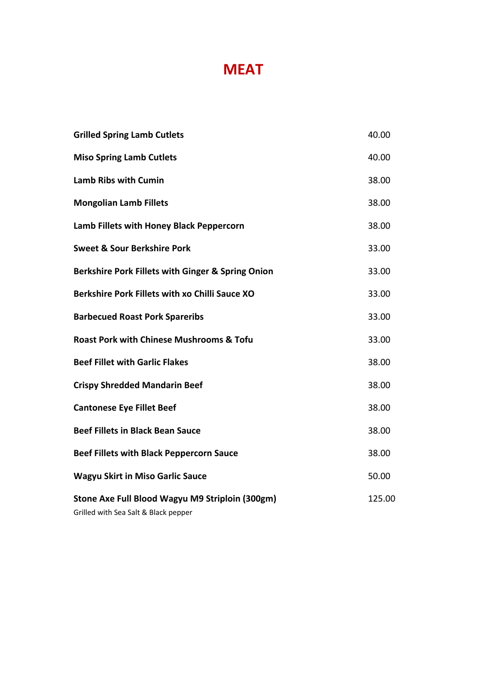## **MEAT**

| <b>Grilled Spring Lamb Cutlets</b>                                                      | 40.00  |
|-----------------------------------------------------------------------------------------|--------|
| <b>Miso Spring Lamb Cutlets</b>                                                         | 40.00  |
| <b>Lamb Ribs with Cumin</b>                                                             | 38.00  |
| <b>Mongolian Lamb Fillets</b>                                                           | 38.00  |
| Lamb Fillets with Honey Black Peppercorn                                                | 38.00  |
| <b>Sweet &amp; Sour Berkshire Pork</b>                                                  | 33.00  |
| Berkshire Pork Fillets with Ginger & Spring Onion                                       | 33.00  |
| Berkshire Pork Fillets with xo Chilli Sauce XO                                          | 33.00  |
| <b>Barbecued Roast Pork Spareribs</b>                                                   | 33.00  |
| <b>Roast Pork with Chinese Mushrooms &amp; Tofu</b>                                     | 33.00  |
| <b>Beef Fillet with Garlic Flakes</b>                                                   | 38.00  |
| <b>Crispy Shredded Mandarin Beef</b>                                                    | 38.00  |
| <b>Cantonese Eye Fillet Beef</b>                                                        | 38.00  |
| <b>Beef Fillets in Black Bean Sauce</b>                                                 | 38.00  |
| <b>Beef Fillets with Black Peppercorn Sauce</b>                                         | 38.00  |
| <b>Wagyu Skirt in Miso Garlic Sauce</b>                                                 | 50.00  |
| Stone Axe Full Blood Wagyu M9 Striploin (300gm)<br>Grilled with Sea Salt & Black pepper | 125.00 |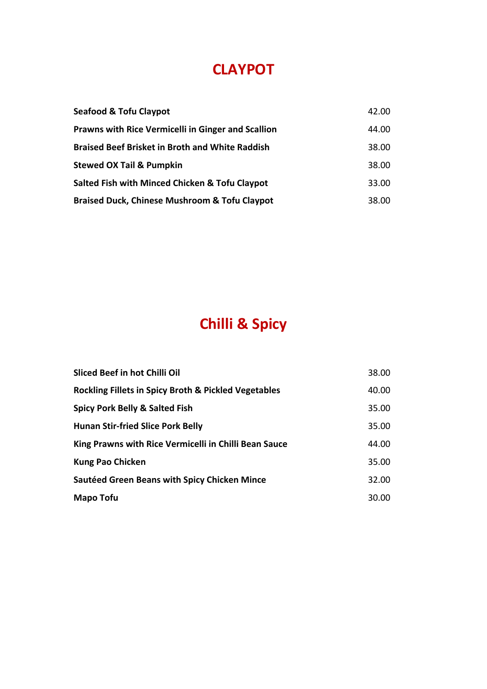#### **CLAYPOT**

| <b>Seafood &amp; Tofu Claypot</b>                         | 42.00 |
|-----------------------------------------------------------|-------|
| <b>Prawns with Rice Vermicelli in Ginger and Scallion</b> | 44.00 |
| <b>Braised Beef Brisket in Broth and White Raddish</b>    | 38.00 |
| <b>Stewed OX Tail &amp; Pumpkin</b>                       | 38.00 |
| Salted Fish with Minced Chicken & Tofu Claypot            | 33.00 |
| <b>Braised Duck, Chinese Mushroom &amp; Tofu Claypot</b>  | 38.00 |

# **Chilli & Spicy**

| Sliced Beef in hot Chilli Oil                                   | 38.00 |
|-----------------------------------------------------------------|-------|
| <b>Rockling Fillets in Spicy Broth &amp; Pickled Vegetables</b> | 40.00 |
| <b>Spicy Pork Belly &amp; Salted Fish</b>                       | 35.00 |
| <b>Hunan Stir-fried Slice Pork Belly</b>                        | 35.00 |
| King Prawns with Rice Vermicelli in Chilli Bean Sauce           | 44.00 |
| <b>Kung Pao Chicken</b>                                         | 35.00 |
| <b>Sautéed Green Beans with Spicy Chicken Mince</b>             | 32.00 |
| <b>Mapo Tofu</b>                                                | 30.00 |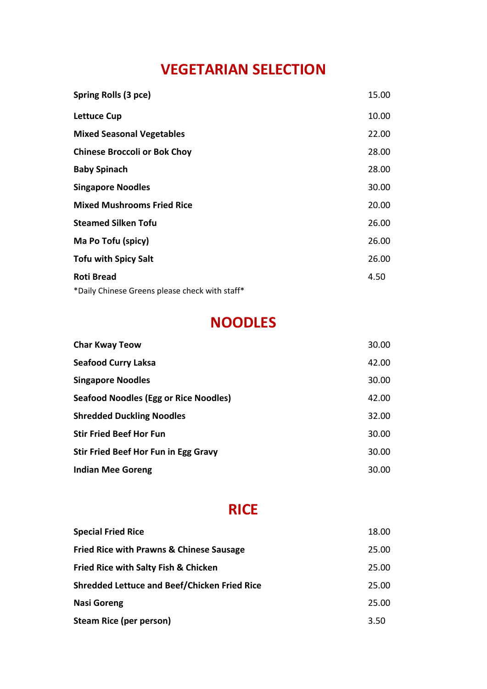# **VEGETARIAN SELECTION**

| Spring Rolls (3 pce)                           | 15.00 |
|------------------------------------------------|-------|
| <b>Lettuce Cup</b>                             | 10.00 |
| <b>Mixed Seasonal Vegetables</b>               | 22.00 |
| <b>Chinese Broccoli or Bok Choy</b>            | 28.00 |
| <b>Baby Spinach</b>                            | 28.00 |
| <b>Singapore Noodles</b>                       | 30.00 |
| <b>Mixed Mushrooms Fried Rice</b>              | 20.00 |
| <b>Steamed Silken Tofu</b>                     | 26.00 |
| Ma Po Tofu (spicy)                             | 26.00 |
| <b>Tofu with Spicy Salt</b>                    | 26.00 |
| <b>Roti Bread</b>                              | 4.50  |
| *Daily Chinese Greens please check with staff* |       |

## **NOODLES**

| <b>Char Kway Teow</b>                        | 30.00 |
|----------------------------------------------|-------|
| <b>Seafood Curry Laksa</b>                   | 42.00 |
| <b>Singapore Noodles</b>                     | 30.00 |
| <b>Seafood Noodles (Egg or Rice Noodles)</b> | 42.00 |
| <b>Shredded Duckling Noodles</b>             | 32.00 |
| <b>Stir Fried Beef Hor Fun</b>               | 30.00 |
| Stir Fried Beef Hor Fun in Egg Gravy         | 30.00 |
| <b>Indian Mee Goreng</b>                     | 30.00 |

#### **RICE**

| <b>Special Fried Rice</b>                           | 18.00 |
|-----------------------------------------------------|-------|
| <b>Fried Rice with Prawns &amp; Chinese Sausage</b> | 25.00 |
| <b>Fried Rice with Salty Fish &amp; Chicken</b>     | 25.00 |
| <b>Shredded Lettuce and Beef/Chicken Fried Rice</b> | 25.00 |
| <b>Nasi Goreng</b>                                  | 25.00 |
| <b>Steam Rice (per person)</b>                      | 3.50  |